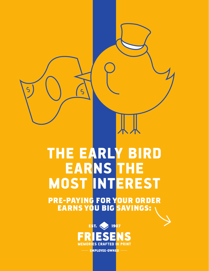## THE EARLY BIRD EARNS THE MOST INTEREST

ζ

 $\zeta$ 

**PRE-PAYING FOR YOUR ORDER EARNS YOU BIG SAVINGS:**



EMPLOYEE-OWNED